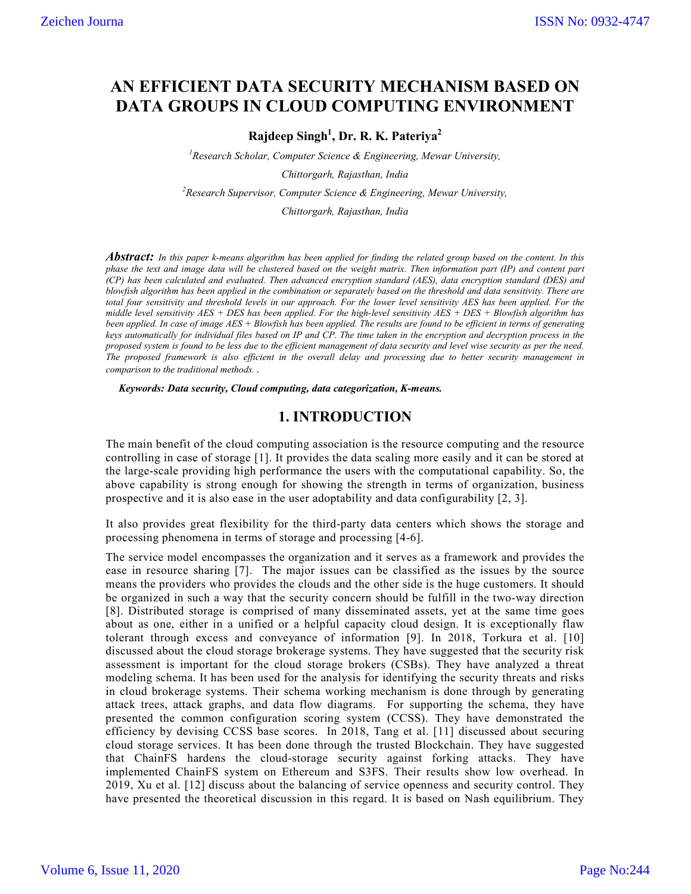# **AN EFFICIENT DATA SECURITY MECHANISM BASED ON DATA GROUPS IN CLOUD COMPUTING ENVIRONMENT**

**Rajdeep Singh1 , Dr. R. K. Pateriya2**

*1 Research Scholar, Computer Science & Engineering, Mewar University,*

*Chittorgarh, Rajasthan, India*

*2 Research Supervisor, Computer Science & Engineering, Mewar University,*

*Chittorgarh, Rajasthan, India*

*Abstract: In this paper k-means algorithm has been applied for finding the related group based on the content. In this phase the text and image data will be clustered based on the weight matrix. Then information part (IP) and content part (CP) has been calculated and evaluated. Then advanced encryption standard (AES), data encryption standard (DES) and blowfish algorithm has been applied in the combination or separately based on the threshold and data sensitivity. There are total four sensitivity and threshold levels in our approach. For the lower level sensitivity AES has been applied. For the middle level sensitivity AES + DES has been applied. For the high-level sensitivity AES + DES + Blowfish algorithm has been applied. In case of image AES + Blowfish has been applied. The results are found to be efficient in terms of generating keys automatically for individual files based on IP and CP. The time taken in the encryption and decryption process in the proposed system is found to be less due to the efficient management of data security and level wise security as per the need. The proposed framework is also efficient in the overall delay and processing due to better security management in comparison to the traditional methods. .*

*Keywords: Data security, Cloud computing, data categorization, K-means.*

### **1. INTRODUCTION**

The main benefit of the cloud computing association is the resource computing and the resource controlling in case of storage [1]. It provides the data scaling more easily and it can be stored at the large-scale providing high performance the users with the computational capability. So, the above capability is strong enough for showing the strength in terms of organization, business prospective and it is also ease in the user adoptability and data configurability [2, 3].

It also provides great flexibility for the third-party data centers which shows the storage and processing phenomena in terms of storage and processing [4-6].

The service model encompasses the organization and it serves as a framework and provides the ease in resource sharing [7]. The major issues can be classified as the issues by the source means the providers who provides the clouds and the other side is the huge customers. It should be organized in such a way that the security concern should be fulfill in the two-way direction [8]. Distributed storage is comprised of many disseminated assets, yet at the same time goes about as one, either in a unified or a helpful capacity cloud design. It is exceptionally flaw tolerant through excess and conveyance of information [9]. In 2018, Torkura et al. [10] discussed about the cloud storage brokerage systems. They have suggested that the security risk assessment is important for the cloud storage brokers (CSBs). They have analyzed a threat modeling schema. It has been used for the analysis for identifying the security threats and risks in cloud brokerage systems. Their schema working mechanism is done through by generating attack trees, attack graphs, and data flow diagrams. For supporting the schema, they have presented the common configuration scoring system (CCSS). They have demonstrated the efficiency by devising CCSS base scores. In 2018, Tang et al. [11] discussed about securing cloud storage services. It has been done through the trusted Blockchain. They have suggested that ChainFS hardens the cloud-storage security against forking attacks. They have implemented ChainFS system on Ethereum and S3FS. Their results show low overhead. In 2019, Xu et al. [12] discuss about the balancing of service openness and security control. They have presented the theoretical discussion in this regard. It is based on Nash equilibrium. They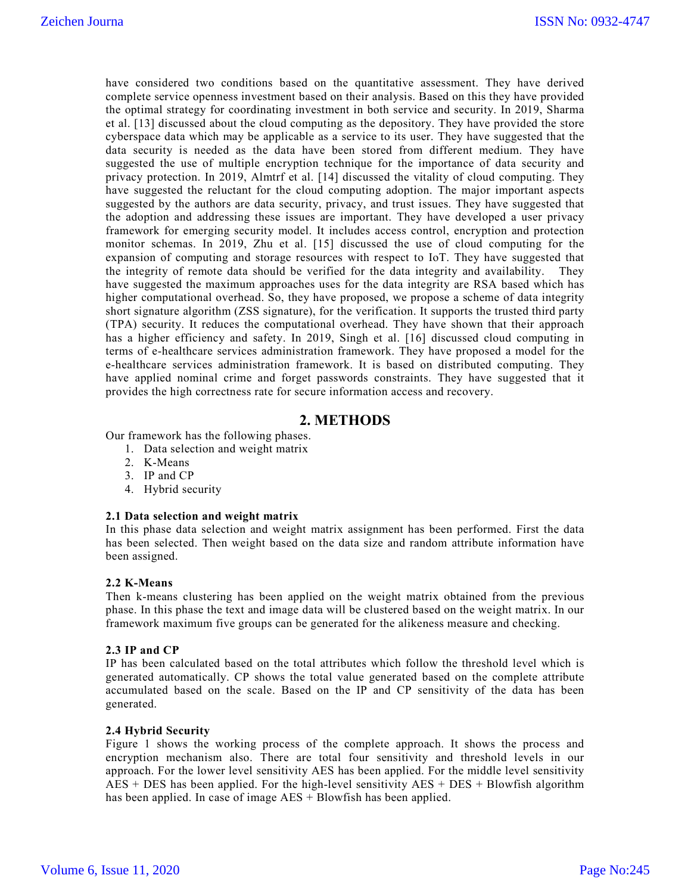have considered two conditions based on the quantitative assessment. They have derived complete service openness investment based on their analysis. Based on this they have provided the optimal strategy for coordinating investment in both service and security. In 2019, Sharma et al. [13] discussed about the cloud computing as the depository. They have provided the store cyberspace data which may be applicable as a service to its user. They have suggested that the data security is needed as the data have been stored from different medium. They have suggested the use of multiple encryption technique for the importance of data security and privacy protection. In 2019, Almtrf et al. [14] discussed the vitality of cloud computing. They have suggested the reluctant for the cloud computing adoption. The major important aspects suggested by the authors are data security, privacy, and trust issues. They have suggested that the adoption and addressing these issues are important. They have developed a user privacy framework for emerging security model. It includes access control, encryption and protection monitor schemas. In 2019, Zhu et al. [15] discussed the use of cloud computing for the expansion of computing and storage resources with respect to IoT. They have suggested that the integrity of remote data should be verified for the data integrity and availability. They have suggested the maximum approaches uses for the data integrity are RSA based which has higher computational overhead. So, they have proposed, we propose a scheme of data integrity short signature algorithm (ZSS signature), for the verification. It supports the trusted third party (TPA) security. It reduces the computational overhead. They have shown that their approach has a higher efficiency and safety. In 2019, Singh et al. [16] discussed cloud computing in terms of e-healthcare services administration framework. They have proposed a model for the e-healthcare services administration framework. It is based on distributed computing. They have applied nominal crime and forget passwords constraints. They have suggested that it provides the high correctness rate for secure information access and recovery.

### **2. METHODS**

Our framework has the following phases.

- 1. Data selection and weight matrix
- 2. K-Means
- 3. IP and CP
- 4. Hybrid security

#### **2.1 Data selection and weight matrix**

In this phase data selection and weight matrix assignment has been performed. First the data has been selected. Then weight based on the data size and random attribute information have been assigned.

#### **2.2 K-Means**

Then k-means clustering has been applied on the weight matrix obtained from the previous phase. In this phase the text and image data will be clustered based on the weight matrix. In our framework maximum five groups can be generated for the alikeness measure and checking.

#### **2.3 IP and CP**

IP has been calculated based on the total attributes which follow the threshold level which is generated automatically. CP shows the total value generated based on the complete attribute accumulated based on the scale. Based on the IP and CP sensitivity of the data has been generated.

#### **2.4 Hybrid Security**

Figure 1 shows the working process of the complete approach. It shows the process and encryption mechanism also. There are total four sensitivity and threshold levels in our approach. For the lower level sensitivity AES has been applied. For the middle level sensitivity  $AES + DES$  has been applied. For the high-level sensitivity  $AES + DES + Blowfish$  algorithm has been applied. In case of image AES + Blowfish has been applied.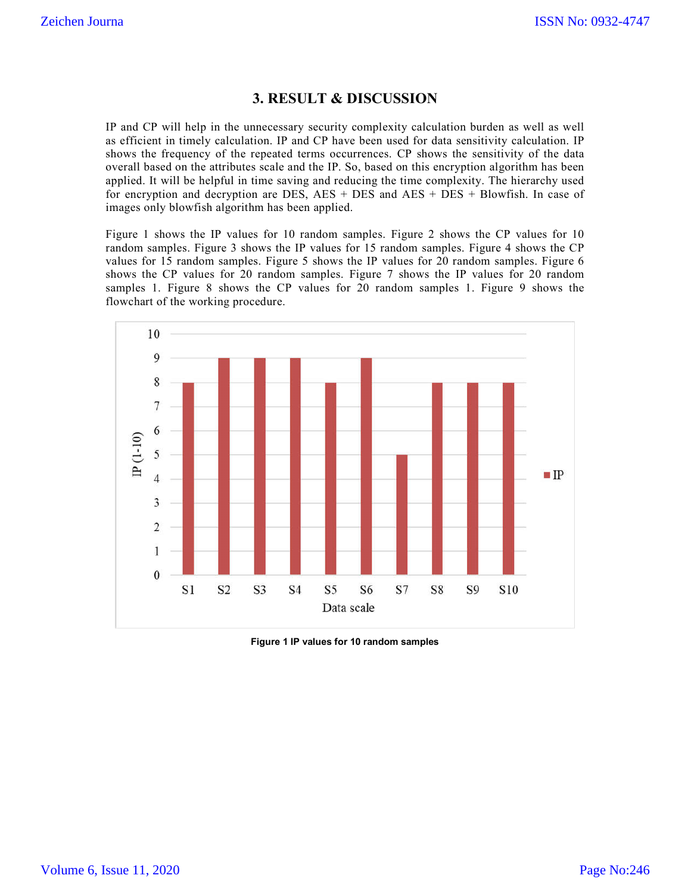## **3. RESULT & DISCUSSION**

IP and CP will help in the unnecessary security complexity calculation burden as well as well as efficient in timely calculation. IP and CP have been used for data sensitivity calculation. IP shows the frequency of the repeated terms occurrences. CP shows the sensitivity of the data overall based on the attributes scale and the IP. So, based on this encryption algorithm has been applied. It will be helpful in time saving and reducing the time complexity. The hierarchy used for encryption and decryption are DES, AES + DES and AES + DES + Blowfish. In case of images only blowfish algorithm has been applied.

Figure 1 shows the IP values for 10 random samples. Figure 2 shows the CP values for 10 random samples. Figure 3 shows the IP values for 15 random samples. Figure 4 shows the CP values for 15 random samples. Figure 5 shows the IP values for 20 random samples. Figure 6 shows the CP values for 20 random samples. Figure 7 shows the IP values for 20 random samples 1. Figure 8 shows the CP values for 20 random samples 1. Figure 9 shows the flowchart of the working procedure.



**Figure 1 IP values for 10 random samples**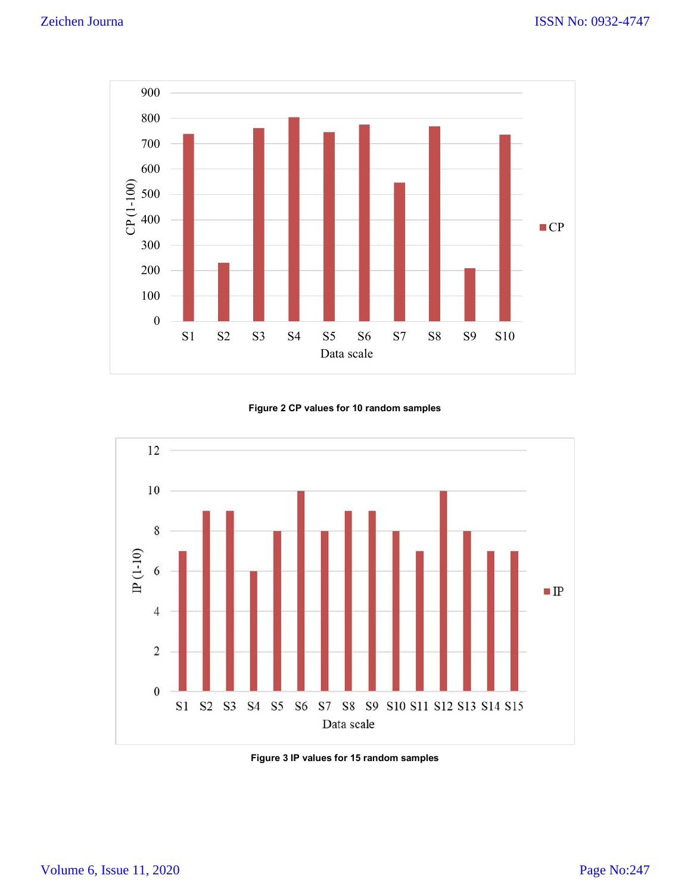

#### **Figure 2 CP values for 10 random samples**



**Figure 3 IP values for 15 random samples**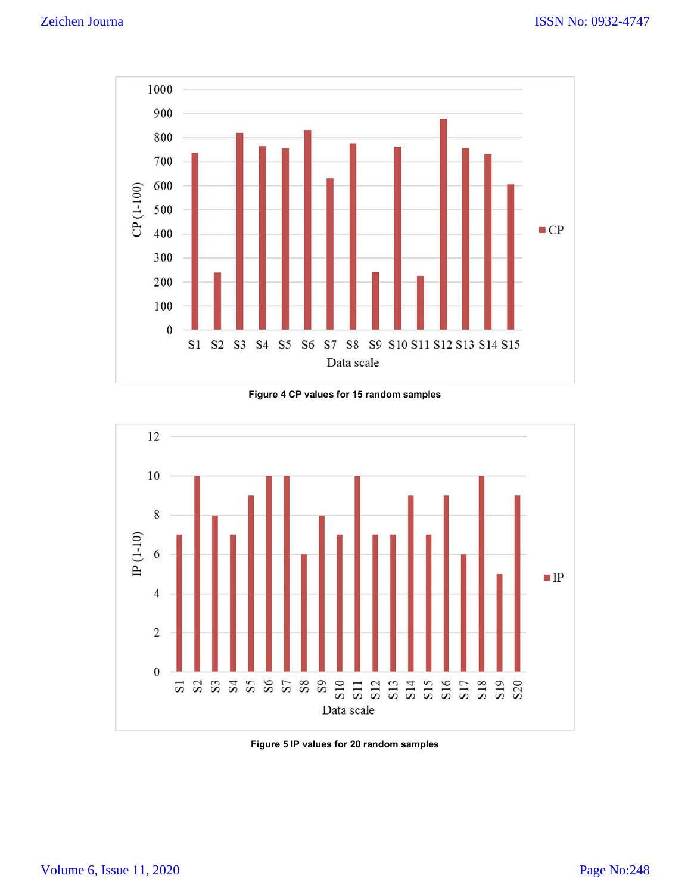

**Figure 4 CP values for 15 random samples**



**Figure 5 IP values for 20 random samples**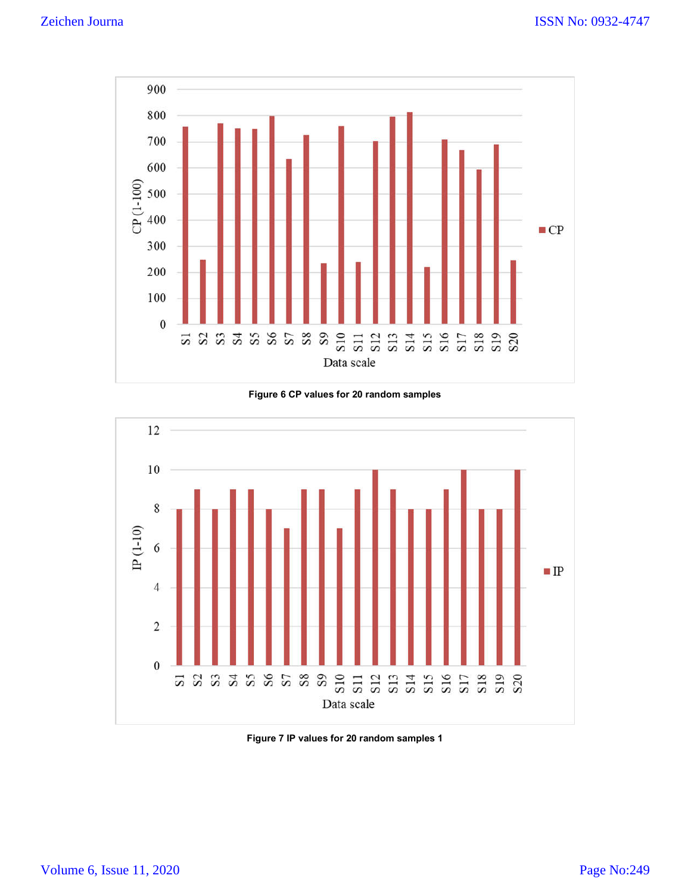

**Figure 6 CP values for 20 random samples**



**Figure 7 IP values for 20 random samples 1**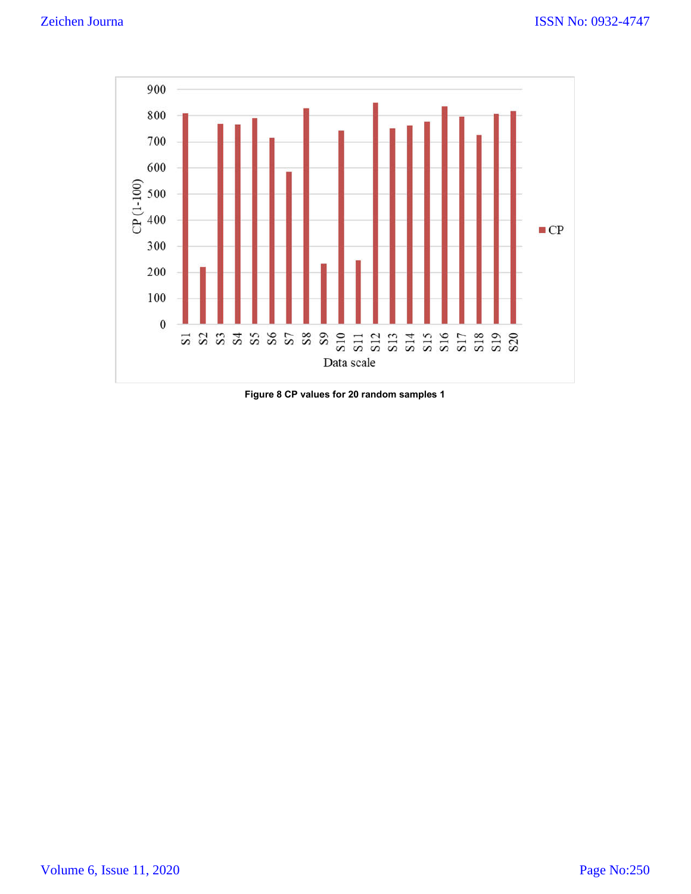

**Figure 8 CP values for 20 random samples 1**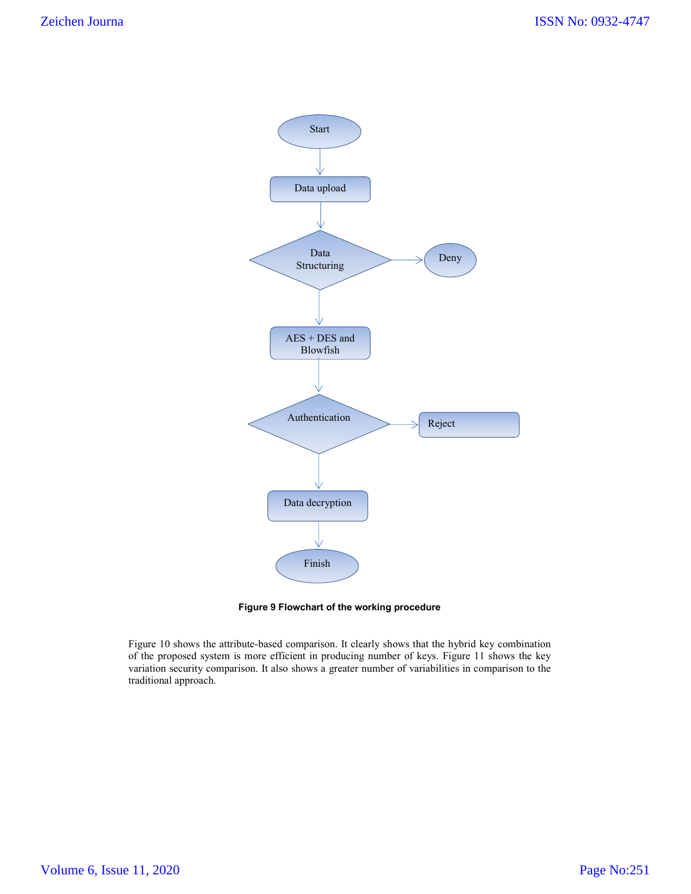

**Figure 9 Flowchart of the working procedure**

Figure 10 shows the attribute-based comparison. It clearly shows that the hybrid key combination of the proposed system is more efficient in producing number of keys. Figure 11 shows the key variation security comparison. It also shows a greater number of variabilities in comparison to the traditional approach.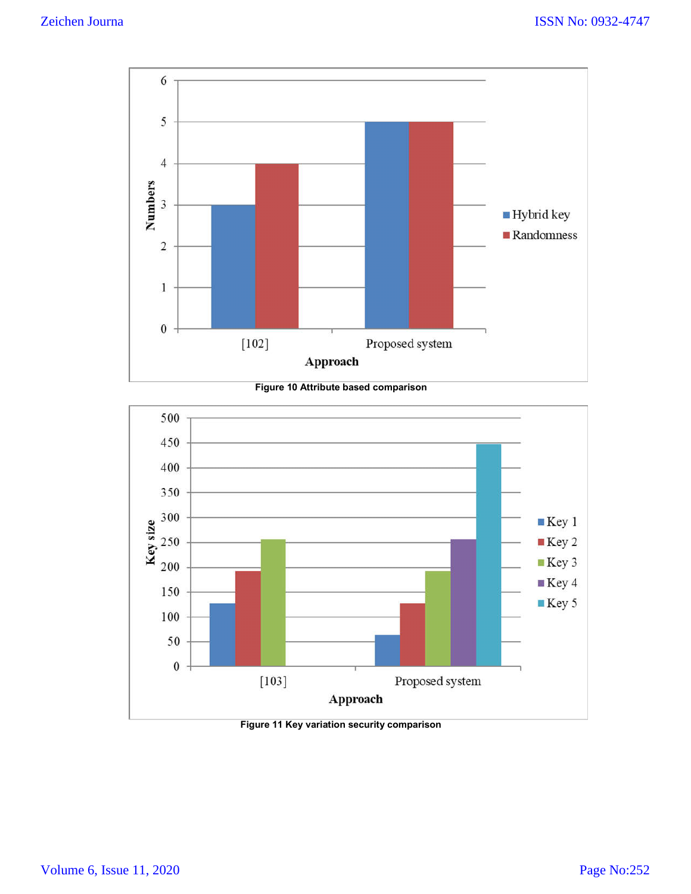





**Figure 11 Key variation security comparison**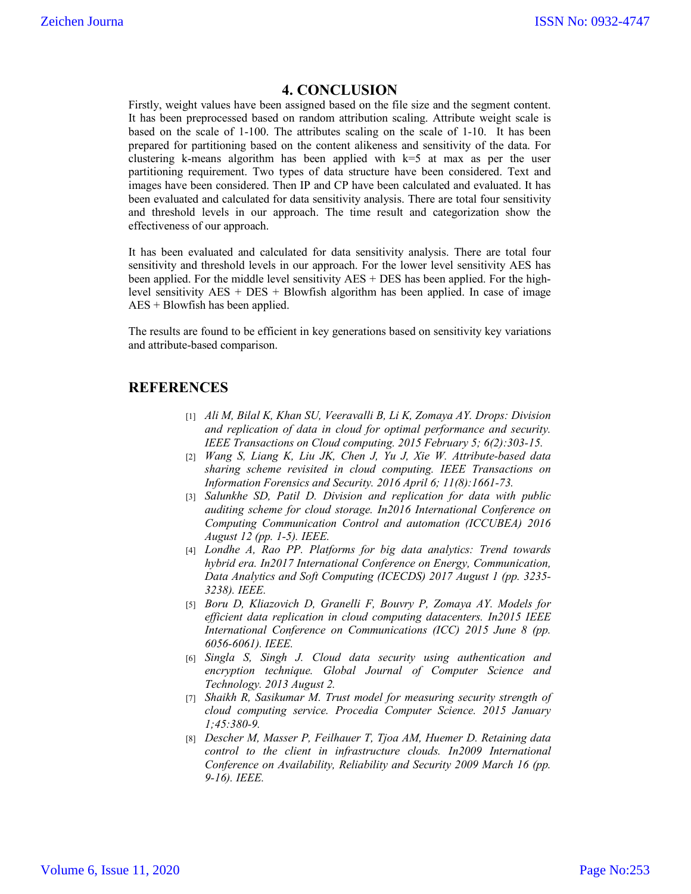## **4. CONCLUSION**

Firstly, weight values have been assigned based on the file size and the segment content. It has been preprocessed based on random attribution scaling. Attribute weight scale is based on the scale of 1-100. The attributes scaling on the scale of 1-10. It has been prepared for partitioning based on the content alikeness and sensitivity of the data. For clustering k-means algorithm has been applied with k=5 at max as per the user partitioning requirement. Two types of data structure have been considered. Text and images have been considered. Then IP and CP have been calculated and evaluated. It has been evaluated and calculated for data sensitivity analysis. There are total four sensitivity and threshold levels in our approach. The time result and categorization show the effectiveness of our approach.

It has been evaluated and calculated for data sensitivity analysis. There are total four sensitivity and threshold levels in our approach. For the lower level sensitivity AES has been applied. For the middle level sensitivity AES + DES has been applied. For the highlevel sensitivity AES + DES + Blowfish algorithm has been applied. In case of image AES + Blowfish has been applied.

The results are found to be efficient in key generations based on sensitivity key variations and attribute-based comparison.

## **REFERENCES**

- [1] *Ali M, Bilal K, Khan SU, Veeravalli B, Li K, Zomaya AY. Drops: Division and replication of data in cloud for optimal performance and security. IEEE Transactions on Cloud computing. 2015 February 5; 6(2):303-15.*
- [2] *Wang S, Liang K, Liu JK, Chen J, Yu J, Xie W. Attribute-based data sharing scheme revisited in cloud computing. IEEE Transactions on Information Forensics and Security. 2016 April 6; 11(8):1661-73.*
- [3] *Salunkhe SD, Patil D. Division and replication for data with public auditing scheme for cloud storage. In2016 International Conference on Computing Communication Control and automation (ICCUBEA) 2016 August 12 (pp. 1-5). IEEE.*
- [4] *Londhe A, Rao PP. Platforms for big data analytics: Trend towards hybrid era. In2017 International Conference on Energy, Communication, Data Analytics and Soft Computing (ICECDS) 2017 August 1 (pp. 3235- 3238). IEEE.*
- [5] *Boru D, Kliazovich D, Granelli F, Bouvry P, Zomaya AY. Models for efficient data replication in cloud computing datacenters. In2015 IEEE International Conference on Communications (ICC) 2015 June 8 (pp. 6056-6061). IEEE.*
- [6] *Singla S, Singh J. Cloud data security using authentication and encryption technique. Global Journal of Computer Science and Technology. 2013 August 2.*
- [7] *Shaikh R, Sasikumar M. Trust model for measuring security strength of cloud computing service. Procedia Computer Science. 2015 January 1;45:380-9.*
- [8] *Descher M, Masser P, Feilhauer T, Tjoa AM, Huemer D. Retaining data control to the client in infrastructure clouds. In2009 International Conference on Availability, Reliability and Security 2009 March 16 (pp. 9-16). IEEE.*